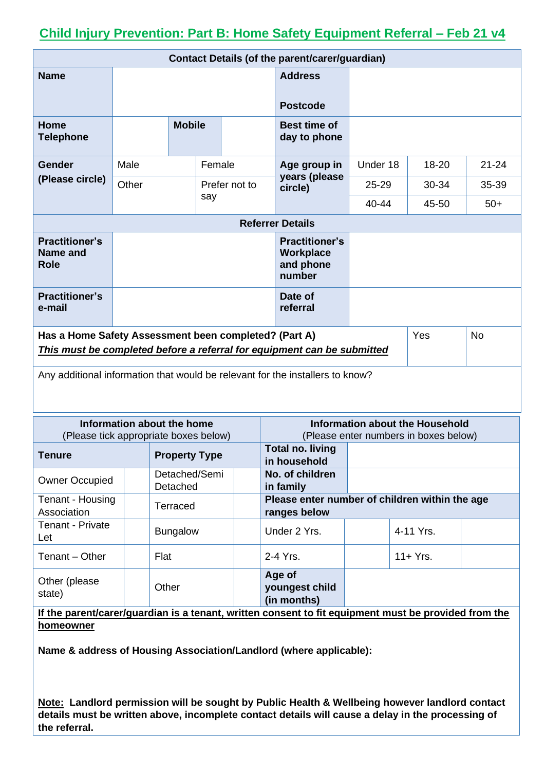## **Child Injury Prevention: Part B: Home Safety Equipment Referral – Feb 21 v4**

| <b>Contact Details (of the parent/carer/guardian)</b>                                                                                                |       |               |        |                                                           |                                     |           |           |           |
|------------------------------------------------------------------------------------------------------------------------------------------------------|-------|---------------|--------|-----------------------------------------------------------|-------------------------------------|-----------|-----------|-----------|
| <b>Name</b>                                                                                                                                          |       |               |        |                                                           | <b>Address</b>                      |           |           |           |
|                                                                                                                                                      |       |               |        |                                                           |                                     |           |           |           |
|                                                                                                                                                      |       |               |        |                                                           | <b>Postcode</b>                     |           |           |           |
| Home<br><b>Telephone</b>                                                                                                                             |       | <b>Mobile</b> |        |                                                           | <b>Best time of</b><br>day to phone |           |           |           |
| Gender                                                                                                                                               | Male  |               | Female |                                                           | Age group in                        | Under 18  | 18-20     | $21 - 24$ |
| (Please circle)                                                                                                                                      | Other |               |        | years (please<br>Prefer not to<br>circle)                 |                                     | $25 - 29$ | $30 - 34$ | 35-39     |
|                                                                                                                                                      |       | say           |        |                                                           | 40-44                               | 45-50     | $50+$     |           |
| <b>Referrer Details</b>                                                                                                                              |       |               |        |                                                           |                                     |           |           |           |
| <b>Practitioner's</b><br>Name and<br><b>Role</b>                                                                                                     |       |               |        | <b>Practitioner's</b><br>Workplace<br>and phone<br>number |                                     |           |           |           |
| <b>Practitioner's</b><br>e-mail                                                                                                                      |       |               |        |                                                           | Date of<br>referral                 |           |           |           |
| Has a Home Safety Assessment been completed? (Part A)<br>Yes<br><b>No</b><br>This must be completed before a referral for equipment can be submitted |       |               |        |                                                           |                                     |           |           |           |
| Any additional information that would be relevant for the installers to know?                                                                        |       |               |        |                                                           |                                     |           |           |           |

|                                 | Information about the home<br>(Please tick appropriate boxes below) |                                         | Information about the Household<br>(Please enter numbers in boxes below) |  |  |  |
|---------------------------------|---------------------------------------------------------------------|-----------------------------------------|--------------------------------------------------------------------------|--|--|--|
| <b>Tenure</b>                   | <b>Property Type</b>                                                | <b>Total no. living</b><br>in household |                                                                          |  |  |  |
| <b>Owner Occupied</b>           | Detached/Semi<br>Detached                                           | No. of children<br>in family            |                                                                          |  |  |  |
| Tenant - Housing<br>Association | Terraced                                                            | ranges below                            | Please enter number of children within the age                           |  |  |  |
| <b>Tenant - Private</b><br>Let  | <b>Bungalow</b>                                                     | Under 2 Yrs.                            | 4-11 Yrs.                                                                |  |  |  |
| Tenant - Other                  | Flat                                                                | 2-4 Yrs.                                | $11+Yrs$ .                                                               |  |  |  |
| Other (please)<br>state)        | Other                                                               | Age of<br>youngest child<br>(in months) |                                                                          |  |  |  |

**If the parent/carer/guardian is a tenant, written consent to fit equipment must be provided from the homeowner** 

**Name & address of Housing Association/Landlord (where applicable):**

**Note: Landlord permission will be sought by Public Health & Wellbeing however landlord contact details must be written above, incomplete contact details will cause a delay in the processing of the referral.**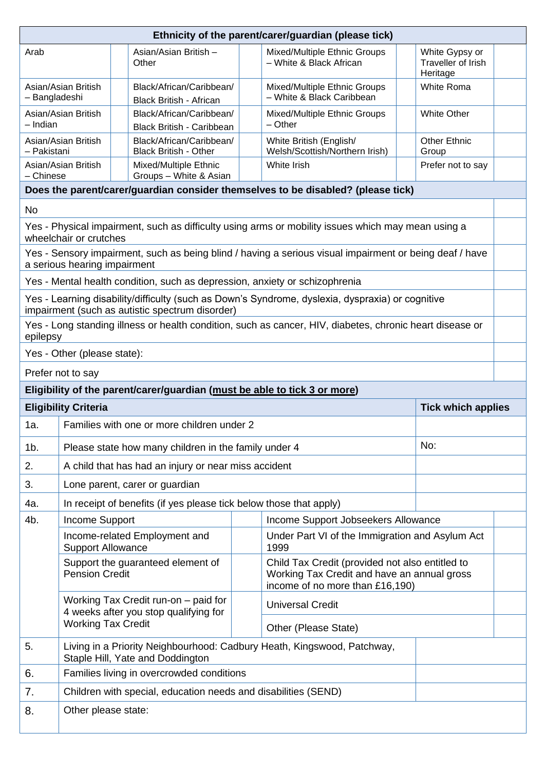| Ethnicity of the parent/carer/guardian (please tick)                                                                                    |                                                                                                                                                                              |                                                                                                                                 |  |                                                                         |                                      |                   |                                                                                                                                                                                                 |  |  |  |  |  |
|-----------------------------------------------------------------------------------------------------------------------------------------|------------------------------------------------------------------------------------------------------------------------------------------------------------------------------|---------------------------------------------------------------------------------------------------------------------------------|--|-------------------------------------------------------------------------|--------------------------------------|-------------------|-------------------------------------------------------------------------------------------------------------------------------------------------------------------------------------------------|--|--|--|--|--|
| Arab                                                                                                                                    |                                                                                                                                                                              | Mixed/Multiple Ethnic Groups<br>Asian/Asian British -<br>- White & Black African<br>Other<br>Heritage                           |  |                                                                         | White Gypsy or<br>Traveller of Irish |                   |                                                                                                                                                                                                 |  |  |  |  |  |
| - Bangladeshi                                                                                                                           | Asian/Asian British                                                                                                                                                          | Black/African/Caribbean/<br>Mixed/Multiple Ethnic Groups<br>- White & Black Caribbean<br><b>Black British - African</b>         |  |                                                                         |                                      | <b>White Roma</b> |                                                                                                                                                                                                 |  |  |  |  |  |
| - Indian                                                                                                                                | Asian/Asian British                                                                                                                                                          | Black/African/Caribbean/<br><b>White Other</b><br>Mixed/Multiple Ethnic Groups<br>$-$ Other<br><b>Black British - Caribbean</b> |  |                                                                         |                                      |                   |                                                                                                                                                                                                 |  |  |  |  |  |
| - Pakistani                                                                                                                             | Black/African/Caribbean/<br>Asian/Asian British<br>White British (English/<br><b>Other Ethnic</b><br><b>Black British - Other</b><br>Welsh/Scottish/Northern Irish)<br>Group |                                                                                                                                 |  |                                                                         |                                      |                   |                                                                                                                                                                                                 |  |  |  |  |  |
| - Chinese                                                                                                                               | White Irish<br>Asian/Asian British<br>Mixed/Multiple Ethnic<br>Prefer not to say<br>Groups - White & Asian                                                                   |                                                                                                                                 |  |                                                                         |                                      |                   |                                                                                                                                                                                                 |  |  |  |  |  |
|                                                                                                                                         | Does the parent/carer/guardian consider themselves to be disabled? (please tick)                                                                                             |                                                                                                                                 |  |                                                                         |                                      |                   |                                                                                                                                                                                                 |  |  |  |  |  |
| <b>No</b>                                                                                                                               |                                                                                                                                                                              |                                                                                                                                 |  |                                                                         |                                      |                   |                                                                                                                                                                                                 |  |  |  |  |  |
| Yes - Physical impairment, such as difficulty using arms or mobility issues which may mean using a<br>wheelchair or crutches            |                                                                                                                                                                              |                                                                                                                                 |  |                                                                         |                                      |                   |                                                                                                                                                                                                 |  |  |  |  |  |
| Yes - Sensory impairment, such as being blind / having a serious visual impairment or being deaf / have<br>a serious hearing impairment |                                                                                                                                                                              |                                                                                                                                 |  |                                                                         |                                      |                   |                                                                                                                                                                                                 |  |  |  |  |  |
|                                                                                                                                         |                                                                                                                                                                              | Yes - Mental health condition, such as depression, anxiety or schizophrenia                                                     |  |                                                                         |                                      |                   |                                                                                                                                                                                                 |  |  |  |  |  |
|                                                                                                                                         | Yes - Learning disability/difficulty (such as Down's Syndrome, dyslexia, dyspraxia) or cognitive<br>impairment (such as autistic spectrum disorder)                          |                                                                                                                                 |  |                                                                         |                                      |                   |                                                                                                                                                                                                 |  |  |  |  |  |
|                                                                                                                                         | Yes - Long standing illness or health condition, such as cancer, HIV, diabetes, chronic heart disease or<br>epilepsy                                                         |                                                                                                                                 |  |                                                                         |                                      |                   |                                                                                                                                                                                                 |  |  |  |  |  |
|                                                                                                                                         | Yes - Other (please state):                                                                                                                                                  |                                                                                                                                 |  |                                                                         |                                      |                   |                                                                                                                                                                                                 |  |  |  |  |  |
|                                                                                                                                         | Prefer not to say                                                                                                                                                            |                                                                                                                                 |  |                                                                         |                                      |                   |                                                                                                                                                                                                 |  |  |  |  |  |
| Eligibility of the parent/carer/guardian (must be able to tick 3 or more)                                                               |                                                                                                                                                                              |                                                                                                                                 |  |                                                                         |                                      |                   |                                                                                                                                                                                                 |  |  |  |  |  |
|                                                                                                                                         | <b>Eligibility Criteria</b><br><b>Tick which applies</b>                                                                                                                     |                                                                                                                                 |  |                                                                         |                                      |                   |                                                                                                                                                                                                 |  |  |  |  |  |
| 1a.                                                                                                                                     | Families with one or more children under 2                                                                                                                                   |                                                                                                                                 |  |                                                                         |                                      |                   |                                                                                                                                                                                                 |  |  |  |  |  |
| $1b$ .                                                                                                                                  | No:<br>Please state how many children in the family under 4                                                                                                                  |                                                                                                                                 |  |                                                                         |                                      |                   |                                                                                                                                                                                                 |  |  |  |  |  |
| 2.                                                                                                                                      | A child that has had an injury or near miss accident                                                                                                                         |                                                                                                                                 |  |                                                                         |                                      |                   |                                                                                                                                                                                                 |  |  |  |  |  |
| 3.                                                                                                                                      | Lone parent, carer or guardian                                                                                                                                               |                                                                                                                                 |  |                                                                         |                                      |                   |                                                                                                                                                                                                 |  |  |  |  |  |
| 4a.                                                                                                                                     | In receipt of benefits (if yes please tick below those that apply)                                                                                                           |                                                                                                                                 |  |                                                                         |                                      |                   |                                                                                                                                                                                                 |  |  |  |  |  |
| 4b.                                                                                                                                     | Income Support<br>Income Support Jobseekers Allowance                                                                                                                        |                                                                                                                                 |  |                                                                         |                                      |                   |                                                                                                                                                                                                 |  |  |  |  |  |
|                                                                                                                                         | Under Part VI of the Immigration and Asylum Act<br>Income-related Employment and<br><b>Support Allowance</b><br>1999                                                         |                                                                                                                                 |  |                                                                         |                                      |                   |                                                                                                                                                                                                 |  |  |  |  |  |
|                                                                                                                                         |                                                                                                                                                                              |                                                                                                                                 |  |                                                                         |                                      |                   | Child Tax Credit (provided not also entitled to<br>Support the guaranteed element of<br><b>Pension Credit</b><br>Working Tax Credit and have an annual gross<br>income of no more than £16,190) |  |  |  |  |  |
|                                                                                                                                         |                                                                                                                                                                              |                                                                                                                                 |  |                                                                         |                                      |                   |                                                                                                                                                                                                 |  |  |  |  |  |
|                                                                                                                                         |                                                                                                                                                                              | Working Tax Credit run-on – paid for<br>4 weeks after you stop qualifying for                                                   |  | <b>Universal Credit</b>                                                 |                                      |                   |                                                                                                                                                                                                 |  |  |  |  |  |
|                                                                                                                                         | <b>Working Tax Credit</b>                                                                                                                                                    |                                                                                                                                 |  | Other (Please State)                                                    |                                      |                   |                                                                                                                                                                                                 |  |  |  |  |  |
| 5.                                                                                                                                      |                                                                                                                                                                              | Staple Hill, Yate and Doddington                                                                                                |  | Living in a Priority Neighbourhood: Cadbury Heath, Kingswood, Patchway, |                                      |                   |                                                                                                                                                                                                 |  |  |  |  |  |
| 6.                                                                                                                                      |                                                                                                                                                                              | Families living in overcrowded conditions                                                                                       |  |                                                                         |                                      |                   |                                                                                                                                                                                                 |  |  |  |  |  |
| 7.                                                                                                                                      |                                                                                                                                                                              | Children with special, education needs and disabilities (SEND)                                                                  |  |                                                                         |                                      |                   |                                                                                                                                                                                                 |  |  |  |  |  |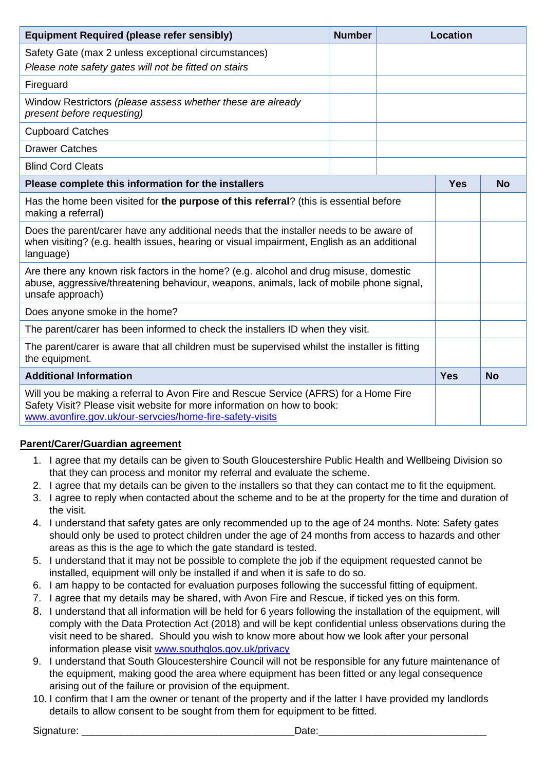| <b>Equipment Required (please refer sensibly)</b>                                                                                                                                                                           |  | <b>Location</b> |            |           |
|-----------------------------------------------------------------------------------------------------------------------------------------------------------------------------------------------------------------------------|--|-----------------|------------|-----------|
| Safety Gate (max 2 unless exceptional circumstances)<br>Please note safety gates will not be fitted on stairs                                                                                                               |  |                 |            |           |
| Fireguard                                                                                                                                                                                                                   |  |                 |            |           |
| Window Restrictors (please assess whether these are already<br>present before requesting)                                                                                                                                   |  |                 |            |           |
| <b>Cupboard Catches</b>                                                                                                                                                                                                     |  |                 |            |           |
| <b>Drawer Catches</b>                                                                                                                                                                                                       |  |                 |            |           |
| <b>Blind Cord Cleats</b>                                                                                                                                                                                                    |  |                 |            |           |
| Please complete this information for the installers                                                                                                                                                                         |  |                 | <b>Yes</b> | <b>No</b> |
| Has the home been visited for the purpose of this referral? (this is essential before<br>making a referral)                                                                                                                 |  |                 |            |           |
| Does the parent/carer have any additional needs that the installer needs to be aware of<br>when visiting? (e.g. health issues, hearing or visual impairment, English as an additional<br>language)                          |  |                 |            |           |
| Are there any known risk factors in the home? (e.g. alcohol and drug misuse, domestic<br>abuse, aggressive/threatening behaviour, weapons, animals, lack of mobile phone signal,<br>unsafe approach)                        |  |                 |            |           |
| Does anyone smoke in the home?                                                                                                                                                                                              |  |                 |            |           |
| The parent/carer has been informed to check the installers ID when they visit.                                                                                                                                              |  |                 |            |           |
| The parent/carer is aware that all children must be supervised whilst the installer is fitting<br>the equipment.                                                                                                            |  |                 |            |           |
| <b>Additional Information</b>                                                                                                                                                                                               |  |                 | <b>Yes</b> | <b>No</b> |
| Will you be making a referral to Avon Fire and Rescue Service (AFRS) for a Home Fire<br>Safety Visit? Please visit website for more information on how to book:<br>www.avonfire.gov.uk/our-servcies/home-fire-safety-visits |  |                 |            |           |

## **Parent/Carer/Guardian agreement**

- 1. I agree that my details can be given to South Gloucestershire Public Health and Wellbeing Division so that they can process and monitor my referral and evaluate the scheme.
- 2. I agree that my details can be given to the installers so that they can contact me to fit the equipment.
- 3. I agree to reply when contacted about the scheme and to be at the property for the time and duration of the visit.
- 4. I understand that safety gates are only recommended up to the age of 24 months. Note: Safety gates should only be used to protect children under the age of 24 months from access to hazards and other areas as this is the age to which the gate standard is tested.
- 5. I understand that it may not be possible to complete the job if the equipment requested cannot be installed, equipment will only be installed if and when it is safe to do so.
- 6. I am happy to be contacted for evaluation purposes following the successful fitting of equipment.
- 7. I agree that my details may be shared, with Avon Fire and Rescue, if ticked yes on this form.
- 8. I understand that all information will be held for 6 years following the installation of the equipment, will comply with the Data Protection Act (2018) and will be kept confidential unless observations during the visit need to be shared. Should you wish to know more about how we look after your personal information please visit [www.southglos.gov.uk/privacy](http://www.southglos.gov.uk/privacy)
- 9. I understand that South Gloucestershire Council will not be responsible for any future maintenance of the equipment, making good the area where equipment has been fitted or any legal consequence arising out of the failure or provision of the equipment.
- 10. I confirm that I am the owner or tenant of the property and if the latter I have provided my landlords details to allow consent to be sought from them for equipment to be fitted.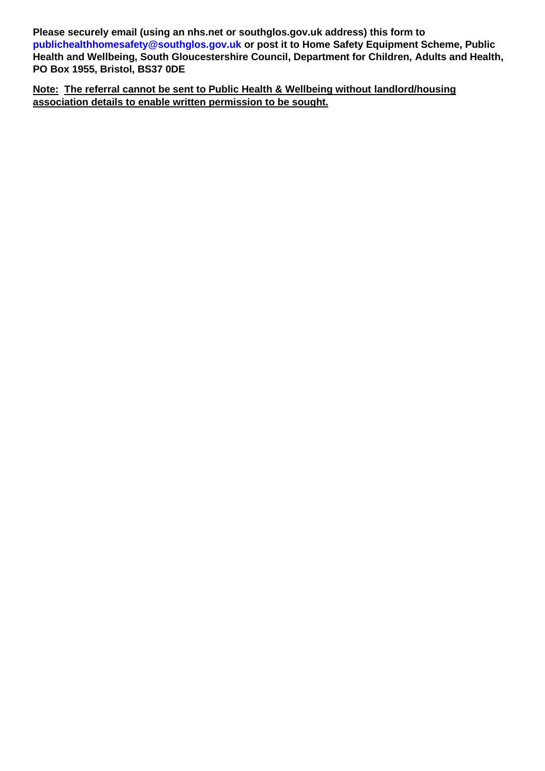**Please securely email (using an nhs.net or southglos.gov.uk address) this form to [publichealthhomesafety@southglos.gov.uk](mailto:publichealthhomesafety@southglos.gov.uk) or post it to Home Safety Equipment Scheme, Public Health and Wellbeing, South Gloucestershire Council, Department for Children, Adults and Health, PO Box 1955, Bristol, BS37 0DE**

**Note: The referral cannot be sent to Public Health & Wellbeing without landlord/housing association details to enable written permission to be sought.**